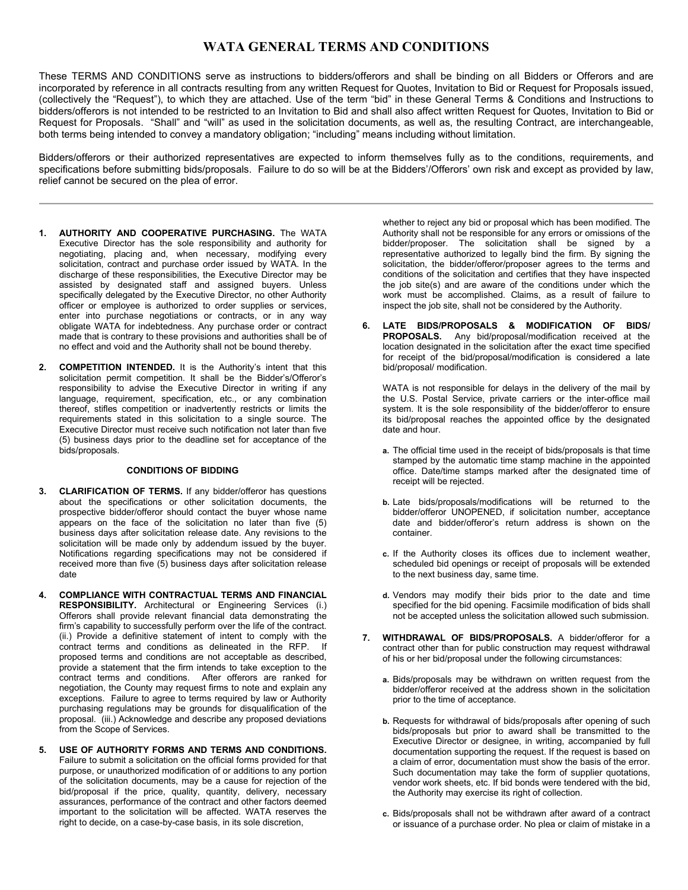# **WATA GENERAL TERMS AND CONDITIONS**

These TERMS AND CONDITIONS serve as instructions to bidders/offerors and shall be binding on all Bidders or Offerors and are incorporated by reference in all contracts resulting from any written Request for Quotes, Invitation to Bid or Request for Proposals issued, (collectively the "Request"), to which they are attached. Use of the term "bid" in these General Terms & Conditions and Instructions to bidders/offerors is not intended to be restricted to an Invitation to Bid and shall also affect written Request for Quotes, Invitation to Bid or Request for Proposals. "Shall" and "will" as used in the solicitation documents, as well as, the resulting Contract, are interchangeable, both terms being intended to convey a mandatory obligation; "including" means including without limitation.

Bidders/offerors or their authorized representatives are expected to inform themselves fully as to the conditions, requirements, and specifications before submitting bids/proposals. Failure to do so will be at the Bidders'/Offerors' own risk and except as provided by law, relief cannot be secured on the plea of error.

- **1. AUTHORITY AND COOPERATIVE PURCHASING.** The WATA Executive Director has the sole responsibility and authority for negotiating, placing and, when necessary, modifying every solicitation, contract and purchase order issued by WATA. In the discharge of these responsibilities, the Executive Director may be assisted by designated staff and assigned buyers. Unless specifically delegated by the Executive Director, no other Authority officer or employee is authorized to order supplies or services, enter into purchase negotiations or contracts, or in any way obligate WATA for indebtedness. Any purchase order or contract made that is contrary to these provisions and authorities shall be of no effect and void and the Authority shall not be bound thereby.
- **2. COMPETITION INTENDED.** It is the Authority's intent that this solicitation permit competition. It shall be the Bidder's/Offeror's responsibility to advise the Executive Director in writing if any language, requirement, specification, etc., or any combination thereof, stifles competition or inadvertently restricts or limits the requirements stated in this solicitation to a single source. The Executive Director must receive such notification not later than five (5) business days prior to the deadline set for acceptance of the bids/proposals.

# **CONDITIONS OF BIDDING**

- **3. CLARIFICATION OF TERMS.** If any bidder/offeror has questions about the specifications or other solicitation documents, the prospective bidder/offeror should contact the buyer whose name appears on the face of the solicitation no later than five (5) business days after solicitation release date. Any revisions to the solicitation will be made only by addendum issued by the buyer. Notifications regarding specifications may not be considered if received more than five (5) business days after solicitation release date
- **4. COMPLIANCE WITH CONTRACTUAL TERMS AND FINANCIAL RESPONSIBILITY.** Architectural or Engineering Services (i.) Offerors shall provide relevant financial data demonstrating the firm's capability to successfully perform over the life of the contract. (ii.) Provide a definitive statement of intent to comply with the contract terms and conditions as delineated in the RFP. proposed terms and conditions are not acceptable as described, provide a statement that the firm intends to take exception to the contract terms and conditions. After offerors are ranked for negotiation, the County may request firms to note and explain any exceptions. Failure to agree to terms required by law or Authority purchasing regulations may be grounds for disqualification of the proposal. (iii.) Acknowledge and describe any proposed deviations from the Scope of Services.
- **5. USE OF AUTHORITY FORMS AND TERMS AND CONDITIONS.** Failure to submit a solicitation on the official forms provided for that purpose, or unauthorized modification of or additions to any portion of the solicitation documents, may be a cause for rejection of the bid/proposal if the price, quality, quantity, delivery, necessary assurances, performance of the contract and other factors deemed important to the solicitation will be affected. WATA reserves the right to decide, on a case-by-case basis, in its sole discretion,

whether to reject any bid or proposal which has been modified. The Authority shall not be responsible for any errors or omissions of the bidder/proposer. The solicitation shall be signed by a representative authorized to legally bind the firm. By signing the solicitation, the bidder/offeror/proposer agrees to the terms and conditions of the solicitation and certifies that they have inspected the job site(s) and are aware of the conditions under which the work must be accomplished. Claims, as a result of failure to inspect the job site, shall not be considered by the Authority.

**6. LATE BIDS/PROPOSALS & MODIFICATION OF BIDS/ PROPOSALS.** Any bid/proposal/modification received at the location designated in the solicitation after the exact time specified for receipt of the bid/proposal/modification is considered a late bid/proposal/ modification.

WATA is not responsible for delays in the delivery of the mail by the U.S. Postal Service, private carriers or the inter-office mail system. It is the sole responsibility of the bidder/offeror to ensure its bid/proposal reaches the appointed office by the designated date and hour.

- **a.** The official time used in the receipt of bids/proposals is that time stamped by the automatic time stamp machine in the appointed office. Date/time stamps marked after the designated time of receipt will be rejected.
- **b.** Late bids/proposals/modifications will be returned to the bidder/offeror UNOPENED, if solicitation number, acceptance date and bidder/offeror's return address is shown on the container.
- **c.** If the Authority closes its offices due to inclement weather, scheduled bid openings or receipt of proposals will be extended to the next business day, same time.
- **d.** Vendors may modify their bids prior to the date and time specified for the bid opening. Facsimile modification of bids shall not be accepted unless the solicitation allowed such submission.
- **7. WITHDRAWAL OF BIDS/PROPOSALS.** A bidder/offeror for a contract other than for public construction may request withdrawal of his or her bid/proposal under the following circumstances:
	- **a.** Bids/proposals may be withdrawn on written request from the bidder/offeror received at the address shown in the solicitation prior to the time of acceptance.
	- **b.** Requests for withdrawal of bids/proposals after opening of such bids/proposals but prior to award shall be transmitted to the Executive Director or designee, in writing, accompanied by full documentation supporting the request. If the request is based on a claim of error, documentation must show the basis of the error. Such documentation may take the form of supplier quotations, vendor work sheets, etc. If bid bonds were tendered with the bid, the Authority may exercise its right of collection.
	- **c.** Bids/proposals shall not be withdrawn after award of a contract or issuance of a purchase order. No plea or claim of mistake in a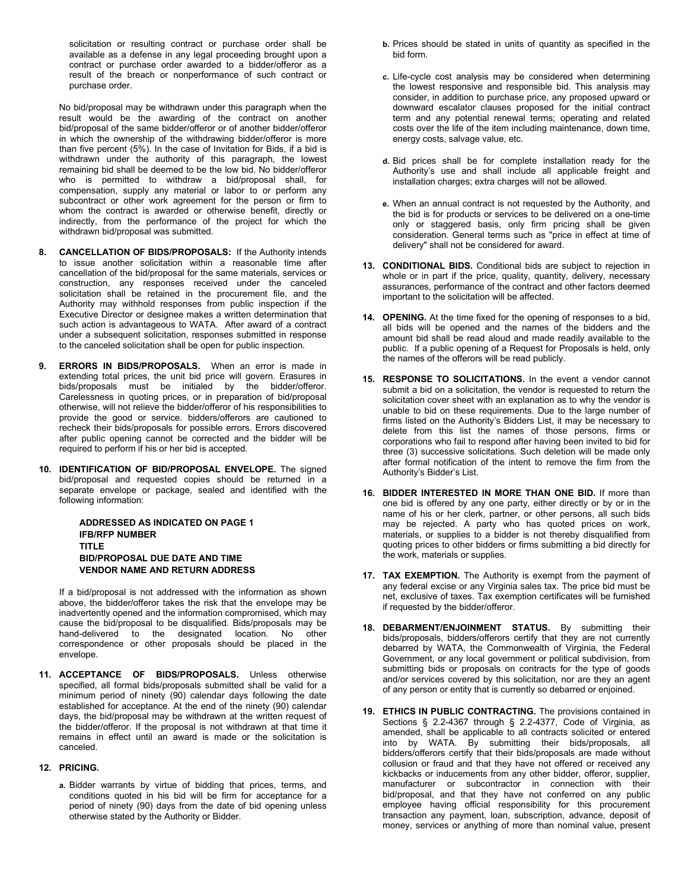solicitation or resulting contract or purchase order shall be available as a defense in any legal proceeding brought upon a contract or purchase order awarded to a bidder/offeror as a result of the breach or nonperformance of such contract or purchase order.

No bid/proposal may be withdrawn under this paragraph when the result would be the awarding of the contract on another bid/proposal of the same bidder/offeror or of another bidder/offeror in which the ownership of the withdrawing bidder/offeror is more than five percent (5%). In the case of Invitation for Bids, if a bid is withdrawn under the authority of this paragraph, the lowest remaining bid shall be deemed to be the low bid. No bidder/offeror who is permitted to withdraw a bid/proposal shall, for compensation, supply any material or labor to or perform any subcontract or other work agreement for the person or firm to whom the contract is awarded or otherwise benefit, directly or indirectly, from the performance of the project for which the withdrawn bid/proposal was submitted.

- **8. CANCELLATION OF BIDS/PROPOSALS:** If the Authority intends to issue another solicitation within a reasonable time after cancellation of the bid/proposal for the same materials, services or construction, any responses received under the canceled solicitation shall be retained in the procurement file, and the Authority may withhold responses from public inspection if the Executive Director or designee makes a written determination that such action is advantageous to WATA. After award of a contract under a subsequent solicitation, responses submitted in response to the canceled solicitation shall be open for public inspection.
- **9. ERRORS IN BIDS/PROPOSALS.** When an error is made in extending total prices, the unit bid price will govern. Erasures in bids/proposals must be initialed by the bidder/offeror. Carelessness in quoting prices, or in preparation of bid/proposal otherwise, will not relieve the bidder/offeror of his responsibilities to provide the good or service. bidders/offerors are cautioned to recheck their bids/proposals for possible errors. Errors discovered after public opening cannot be corrected and the bidder will be required to perform if his or her bid is accepted.
- **10. IDENTIFICATION OF BID/PROPOSAL ENVELOPE.** The signed bid/proposal and requested copies should be returned in a separate envelope or package, sealed and identified with the following information:

# **ADDRESSED AS INDICATED ON PAGE 1 IFB/RFP NUMBER TITLE BID/PROPOSAL DUE DATE AND TIME VENDOR NAME AND RETURN ADDRESS**

If a bid/proposal is not addressed with the information as shown above, the bidder/offeror takes the risk that the envelope may be inadvertently opened and the information compromised, which may cause the bid/proposal to be disqualified. Bids/proposals may be hand-delivered to the designated location. No other correspondence or other proposals should be placed in the envelope.

**11. ACCEPTANCE OF BIDS/PROPOSALS.** Unless otherwise specified, all formal bids/proposals submitted shall be valid for a minimum period of ninety (90) calendar days following the date established for acceptance. At the end of the ninety (90) calendar days, the bid/proposal may be withdrawn at the written request of the bidder/offeror. If the proposal is not withdrawn at that time it remains in effect until an award is made or the solicitation is canceled.

# **12. PRICING.**

**a.** Bidder warrants by virtue of bidding that prices, terms, and conditions quoted in his bid will be firm for acceptance for a period of ninety (90) days from the date of bid opening unless otherwise stated by the Authority or Bidder.

- **b.** Prices should be stated in units of quantity as specified in the bid form.
- **c.** Life-cycle cost analysis may be considered when determining the lowest responsive and responsible bid. This analysis may consider, in addition to purchase price, any proposed upward or downward escalator clauses proposed for the initial contract term and any potential renewal terms; operating and related costs over the life of the item including maintenance, down time, energy costs, salvage value, etc.
- **d.** Bid prices shall be for complete installation ready for the Authority's use and shall include all applicable freight and installation charges; extra charges will not be allowed.
- **e.** When an annual contract is not requested by the Authority, and the bid is for products or services to be delivered on a one-time only or staggered basis, only firm pricing shall be given consideration. General terms such as "price in effect at time of delivery" shall not be considered for award.
- **13. CONDITIONAL BIDS.** Conditional bids are subject to rejection in whole or in part if the price, quality, quantity, delivery, necessary assurances, performance of the contract and other factors deemed important to the solicitation will be affected.
- **14. OPENING.** At the time fixed for the opening of responses to a bid, all bids will be opened and the names of the bidders and the amount bid shall be read aloud and made readily available to the public. If a public opening of a Request for Proposals is held, only the names of the offerors will be read publicly.
- **15. RESPONSE TO SOLICITATIONS.** In the event a vendor cannot submit a bid on a solicitation, the vendor is requested to return the solicitation cover sheet with an explanation as to why the vendor is unable to bid on these requirements. Due to the large number of firms listed on the Authority's Bidders List, it may be necessary to delete from this list the names of those persons, firms or corporations who fail to respond after having been invited to bid for three (3) successive solicitations. Such deletion will be made only after formal notification of the intent to remove the firm from the Authority's Bidder's List.
- **16. BIDDER INTERESTED IN MORE THAN ONE BID.** If more than one bid is offered by any one party, either directly or by or in the name of his or her clerk, partner, or other persons, all such bids may be rejected. A party who has quoted prices on work, materials, or supplies to a bidder is not thereby disqualified from quoting prices to other bidders or firms submitting a bid directly for the work, materials or supplies.
- **17. TAX EXEMPTION.** The Authority is exempt from the payment of any federal excise or any Virginia sales tax. The price bid must be net, exclusive of taxes. Tax exemption certificates will be furnished if requested by the bidder/offeror.
- **18. DEBARMENT/ENJOINMENT STATUS.** By submitting their bids/proposals, bidders/offerors certify that they are not currently debarred by WATA, the Commonwealth of Virginia, the Federal Government, or any local government or political subdivision, from submitting bids or proposals on contracts for the type of goods and/or services covered by this solicitation, nor are they an agent of any person or entity that is currently so debarred or enjoined.
- **19. ETHICS IN PUBLIC CONTRACTING.** The provisions contained in Sections § 2.2-4367 through § 2.2-4377, Code of Virginia, as amended, shall be applicable to all contracts solicited or entered into by WATA. By submitting their bids/proposals, all bidders/offerors certify that their bids/proposals are made without collusion or fraud and that they have not offered or received any kickbacks or inducements from any other bidder, offeror, supplier, manufacturer or subcontractor in connection with their bid/proposal, and that they have not conferred on any public employee having official responsibility for this procurement transaction any payment, loan, subscription, advance, deposit of money, services or anything of more than nominal value, present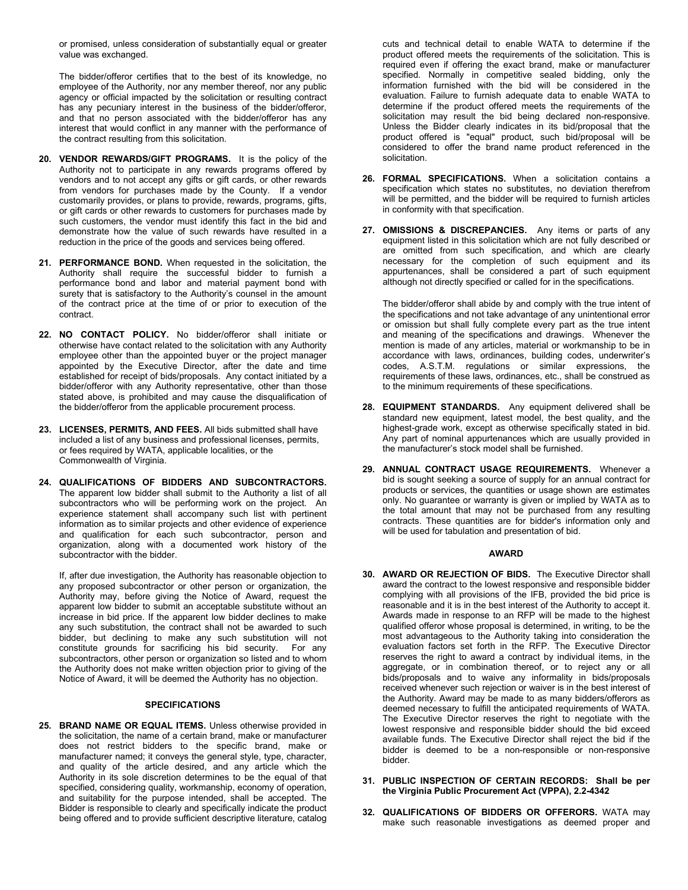or promised, unless consideration of substantially equal or greater value was exchanged.

The bidder/offeror certifies that to the best of its knowledge, no employee of the Authority, nor any member thereof, nor any public agency or official impacted by the solicitation or resulting contract has any pecuniary interest in the business of the bidder/offeror, and that no person associated with the bidder/offeror has any interest that would conflict in any manner with the performance of the contract resulting from this solicitation.

- **20. VENDOR REWARDS/GIFT PROGRAMS.** It is the policy of the Authority not to participate in any rewards programs offered by vendors and to not accept any gifts or gift cards, or other rewards from vendors for purchases made by the County. If a vendor customarily provides, or plans to provide, rewards, programs, gifts, or gift cards or other rewards to customers for purchases made by such customers, the vendor must identify this fact in the bid and demonstrate how the value of such rewards have resulted in a reduction in the price of the goods and services being offered.
- **21. PERFORMANCE BOND.** When requested in the solicitation, the Authority shall require the successful bidder to furnish a performance bond and labor and material payment bond with surety that is satisfactory to the Authority's counsel in the amount of the contract price at the time of or prior to execution of the contract.
- **22. NO CONTACT POLICY.** No bidder/offeror shall initiate or otherwise have contact related to the solicitation with any Authority employee other than the appointed buyer or the project manager appointed by the Executive Director, after the date and time established for receipt of bids/proposals. Any contact initiated by a bidder/offeror with any Authority representative, other than those stated above, is prohibited and may cause the disqualification of the bidder/offeror from the applicable procurement process.
- **23. LICENSES, PERMITS, AND FEES.** All bids submitted shall have included a list of any business and professional licenses, permits, or fees required by WATA, applicable localities, or the Commonwealth of Virginia.
- **24. QUALIFICATIONS OF BIDDERS AND SUBCONTRACTORS.** The apparent low bidder shall submit to the Authority a list of all subcontractors who will be performing work on the project. An experience statement shall accompany such list with pertinent information as to similar projects and other evidence of experience and qualification for each such subcontractor, person and organization, along with a documented work history of the subcontractor with the bidder.

If, after due investigation, the Authority has reasonable objection to any proposed subcontractor or other person or organization, the Authority may, before giving the Notice of Award, request the apparent low bidder to submit an acceptable substitute without an increase in bid price. If the apparent low bidder declines to make any such substitution, the contract shall not be awarded to such bidder, but declining to make any such substitution will not constitute grounds for sacrificing his bid security. For any constitute grounds for sacrificing his bid security. subcontractors, other person or organization so listed and to whom the Authority does not make written objection prior to giving of the Notice of Award, it will be deemed the Authority has no objection.

# **SPECIFICATIONS**

**25. BRAND NAME OR EQUAL ITEMS.** Unless otherwise provided in the solicitation, the name of a certain brand, make or manufacturer does not restrict bidders to the specific brand, make or manufacturer named; it conveys the general style, type, character, and quality of the article desired, and any article which the Authority in its sole discretion determines to be the equal of that specified, considering quality, workmanship, economy of operation, and suitability for the purpose intended, shall be accepted. The Bidder is responsible to clearly and specifically indicate the product being offered and to provide sufficient descriptive literature, catalog

cuts and technical detail to enable WATA to determine if the product offered meets the requirements of the solicitation. This is required even if offering the exact brand, make or manufacturer specified. Normally in competitive sealed bidding, only the information furnished with the bid will be considered in the evaluation. Failure to furnish adequate data to enable WATA to determine if the product offered meets the requirements of the solicitation may result the bid being declared non-responsive. Unless the Bidder clearly indicates in its bid/proposal that the product offered is "equal" product, such bid/proposal will be considered to offer the brand name product referenced in the solicitation.

- **26. FORMAL SPECIFICATIONS.** When a solicitation contains a specification which states no substitutes, no deviation therefrom will be permitted, and the bidder will be required to furnish articles in conformity with that specification.
- **27. OMISSIONS & DISCREPANCIES.** Any items or parts of any equipment listed in this solicitation which are not fully described or are omitted from such specification, and which are clearly necessary for the completion of such equipment and its appurtenances, shall be considered a part of such equipment although not directly specified or called for in the specifications.

The bidder/offeror shall abide by and comply with the true intent of the specifications and not take advantage of any unintentional error or omission but shall fully complete every part as the true intent and meaning of the specifications and drawings. Whenever the mention is made of any articles, material or workmanship to be in accordance with laws, ordinances, building codes, underwriter's codes, A.S.T.M. regulations or similar expressions, the requirements of these laws, ordinances, etc., shall be construed as to the minimum requirements of these specifications.

- **28. EQUIPMENT STANDARDS.** Any equipment delivered shall be standard new equipment, latest model, the best quality, and the highest-grade work, except as otherwise specifically stated in bid. Any part of nominal appurtenances which are usually provided in the manufacturer's stock model shall be furnished.
- **29. ANNUAL CONTRACT USAGE REQUIREMENTS.** Whenever a bid is sought seeking a source of supply for an annual contract for products or services, the quantities or usage shown are estimates only. No guarantee or warranty is given or implied by WATA as to the total amount that may not be purchased from any resulting contracts. These quantities are for bidder's information only and will be used for tabulation and presentation of bid.

#### **AWARD**

- **30. AWARD OR REJECTION OF BIDS.** The Executive Director shall award the contract to the lowest responsive and responsible bidder complying with all provisions of the IFB, provided the bid price is reasonable and it is in the best interest of the Authority to accept it. Awards made in response to an RFP will be made to the highest qualified offeror whose proposal is determined, in writing, to be the most advantageous to the Authority taking into consideration the evaluation factors set forth in the RFP. The Executive Director reserves the right to award a contract by individual items, in the aggregate, or in combination thereof, or to reject any or all bids/proposals and to waive any informality in bids/proposals received whenever such rejection or waiver is in the best interest of the Authority. Award may be made to as many bidders/offerors as deemed necessary to fulfill the anticipated requirements of WATA. The Executive Director reserves the right to negotiate with the lowest responsive and responsible bidder should the bid exceed available funds. The Executive Director shall reject the bid if the bidder is deemed to be a non-responsible or non-responsive bidder.
- **31. PUBLIC INSPECTION OF CERTAIN RECORDS: Shall be per the Virginia Public Procurement Act (VPPA), 2.2-4342**
- **32. QUALIFICATIONS OF BIDDERS OR OFFERORS.** WATA may make such reasonable investigations as deemed proper and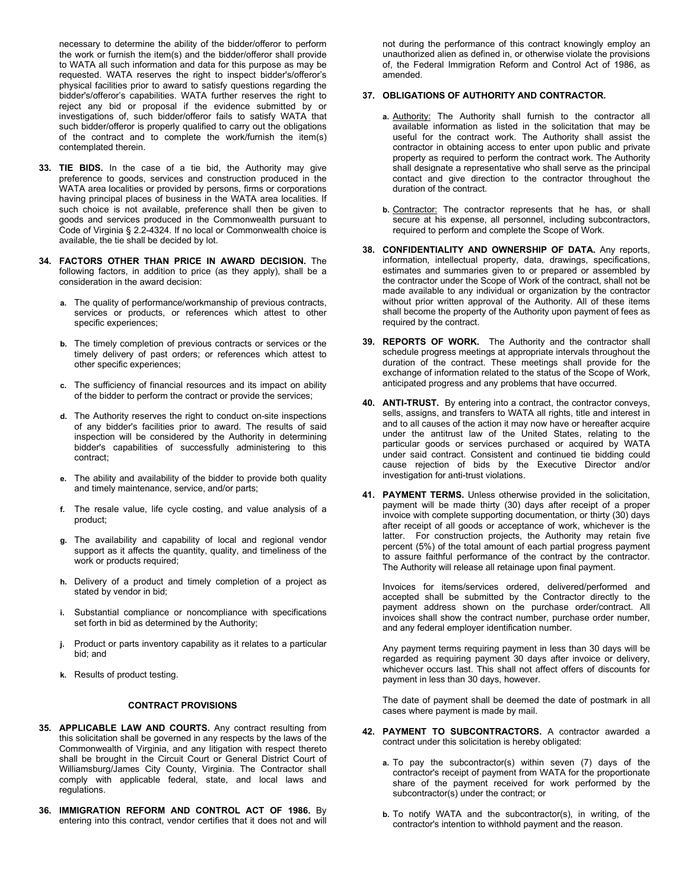necessary to determine the ability of the bidder/offeror to perform the work or furnish the item(s) and the bidder/offeror shall provide to WATA all such information and data for this purpose as may be requested. WATA reserves the right to inspect bidder's/offeror's physical facilities prior to award to satisfy questions regarding the bidder's/offeror's capabilities. WATA further reserves the right to reject any bid or proposal if the evidence submitted by or investigations of, such bidder/offeror fails to satisfy WATA that such bidder/offeror is properly qualified to carry out the obligations of the contract and to complete the work/furnish the item(s) contemplated therein.

- **33. TIE BIDS.** In the case of a tie bid, the Authority may give preference to goods, services and construction produced in the WATA area localities or provided by persons, firms or corporations having principal places of business in the WATA area localities. If such choice is not available, preference shall then be given to goods and services produced in the Commonwealth pursuant to Code of Virginia § 2.2-4324. If no local or Commonwealth choice is available, the tie shall be decided by lot.
- **34. FACTORS OTHER THAN PRICE IN AWARD DECISION.** The following factors, in addition to price (as they apply), shall be a consideration in the award decision:
	- **a.** The quality of performance/workmanship of previous contracts, services or products, or references which attest to other specific experiences;
	- **b.** The timely completion of previous contracts or services or the timely delivery of past orders; or references which attest to other specific experiences;
	- **c.** The sufficiency of financial resources and its impact on ability of the bidder to perform the contract or provide the services;
	- **d.** The Authority reserves the right to conduct on-site inspections of any bidder's facilities prior to award. The results of said inspection will be considered by the Authority in determining bidder's capabilities of successfully administering to this contract;
	- **e.** The ability and availability of the bidder to provide both quality and timely maintenance, service, and/or parts;
	- **f.** The resale value, life cycle costing, and value analysis of a product;
	- **g.** The availability and capability of local and regional vendor support as it affects the quantity, quality, and timeliness of the work or products required;
	- **h.** Delivery of a product and timely completion of a project as stated by vendor in bid;
	- **i.** Substantial compliance or noncompliance with specifications set forth in bid as determined by the Authority;
	- **j.** Product or parts inventory capability as it relates to a particular bid; and
	- **k.** Results of product testing.

#### **CONTRACT PROVISIONS**

- **35. APPLICABLE LAW AND COURTS.** Any contract resulting from this solicitation shall be governed in any respects by the laws of the Commonwealth of Virginia, and any litigation with respect thereto shall be brought in the Circuit Court or General District Court of Williamsburg/James City County, Virginia. The Contractor shall comply with applicable federal, state, and local laws and regulations.
- **36. IMMIGRATION REFORM AND CONTROL ACT OF 1986.** By entering into this contract, vendor certifies that it does not and will

not during the performance of this contract knowingly employ an unauthorized alien as defined in, or otherwise violate the provisions of, the Federal Immigration Reform and Control Act of 1986, as amended.

## **37. OBLIGATIONS OF AUTHORITY AND CONTRACTOR.**

- **a.** Authority: The Authority shall furnish to the contractor all available information as listed in the solicitation that may be useful for the contract work. The Authority shall assist the contractor in obtaining access to enter upon public and private property as required to perform the contract work. The Authority shall designate a representative who shall serve as the principal contact and give direction to the contractor throughout the duration of the contract.
- **b.** Contractor: The contractor represents that he has, or shall secure at his expense, all personnel, including subcontractors, required to perform and complete the Scope of Work.
- **38. CONFIDENTIALITY AND OWNERSHIP OF DATA.** Any reports, information, intellectual property, data, drawings, specifications, estimates and summaries given to or prepared or assembled by the contractor under the Scope of Work of the contract, shall not be made available to any individual or organization by the contractor without prior written approval of the Authority. All of these items shall become the property of the Authority upon payment of fees as required by the contract.
- **39. REPORTS OF WORK.** The Authority and the contractor shall schedule progress meetings at appropriate intervals throughout the duration of the contract. These meetings shall provide for the exchange of information related to the status of the Scope of Work, anticipated progress and any problems that have occurred.
- **40. ANTI-TRUST.** By entering into a contract, the contractor conveys, sells, assigns, and transfers to WATA all rights, title and interest in and to all causes of the action it may now have or hereafter acquire under the antitrust law of the United States, relating to the particular goods or services purchased or acquired by WATA under said contract. Consistent and continued tie bidding could cause rejection of bids by the Executive Director and/or investigation for anti-trust violations.
- **41. PAYMENT TERMS.** Unless otherwise provided in the solicitation, payment will be made thirty (30) days after receipt of a proper invoice with complete supporting documentation, or thirty (30) days after receipt of all goods or acceptance of work, whichever is the latter. For construction projects, the Authority may retain five percent (5%) of the total amount of each partial progress payment to assure faithful performance of the contract by the contractor. The Authority will release all retainage upon final payment.

Invoices for items/services ordered, delivered/performed and accepted shall be submitted by the Contractor directly to the payment address shown on the purchase order/contract. All invoices shall show the contract number, purchase order number, and any federal employer identification number.

Any payment terms requiring payment in less than 30 days will be regarded as requiring payment 30 days after invoice or delivery, whichever occurs last. This shall not affect offers of discounts for payment in less than 30 days, however.

The date of payment shall be deemed the date of postmark in all cases where payment is made by mail.

- **42. PAYMENT TO SUBCONTRACTORS.** A contractor awarded a contract under this solicitation is hereby obligated:
	- **a.** To pay the subcontractor(s) within seven (7) days of the contractor's receipt of payment from WATA for the proportionate share of the payment received for work performed by the subcontractor(s) under the contract; or
	- **b.** To notify WATA and the subcontractor(s), in writing, of the contractor's intention to withhold payment and the reason.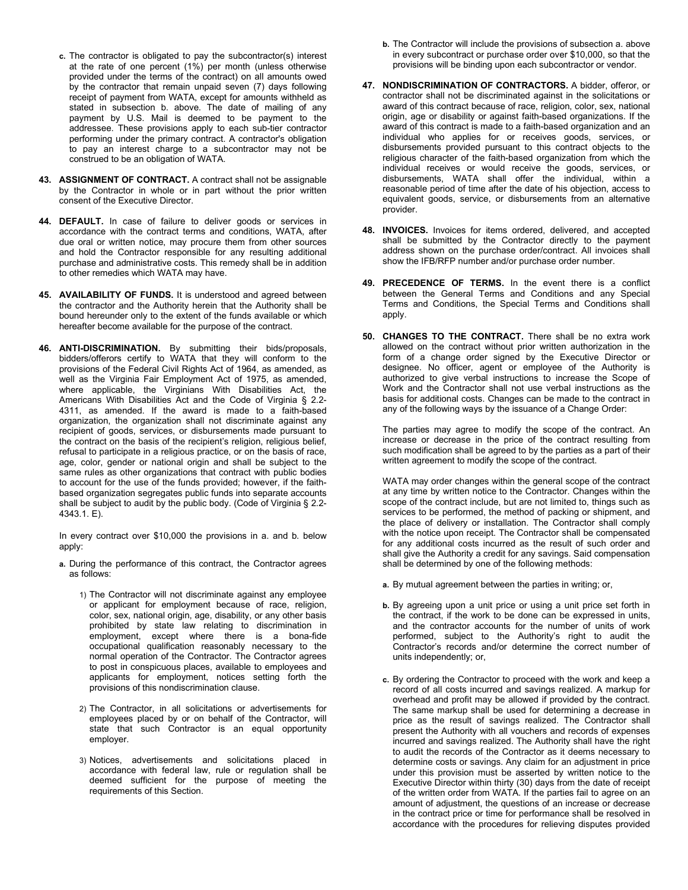- **c.** The contractor is obligated to pay the subcontractor(s) interest at the rate of one percent (1%) per month (unless otherwise provided under the terms of the contract) on all amounts owed by the contractor that remain unpaid seven (7) days following receipt of payment from WATA, except for amounts withheld as stated in subsection b. above. The date of mailing of any payment by U.S. Mail is deemed to be payment to the addressee. These provisions apply to each sub-tier contractor performing under the primary contract. A contractor's obligation to pay an interest charge to a subcontractor may not be construed to be an obligation of WATA.
- **43. ASSIGNMENT OF CONTRACT.** A contract shall not be assignable by the Contractor in whole or in part without the prior written consent of the Executive Director.
- **44. DEFAULT.** In case of failure to deliver goods or services in accordance with the contract terms and conditions, WATA, after due oral or written notice, may procure them from other sources and hold the Contractor responsible for any resulting additional purchase and administrative costs. This remedy shall be in addition to other remedies which WATA may have.
- **45. AVAILABILITY OF FUNDS.** It is understood and agreed between the contractor and the Authority herein that the Authority shall be bound hereunder only to the extent of the funds available or which hereafter become available for the purpose of the contract.
- **46. ANTI-DISCRIMINATION.** By submitting their bids/proposals, bidders/offerors certify to WATA that they will conform to the provisions of the Federal Civil Rights Act of 1964, as amended, as well as the Virginia Fair Employment Act of 1975, as amended, where applicable, the Virginians With Disabilities Act, the Americans With Disabilities Act and the Code of Virginia § 2.2- 4311, as amended. If the award is made to a faith-based organization, the organization shall not discriminate against any recipient of goods, services, or disbursements made pursuant to the contract on the basis of the recipient's religion, religious belief, refusal to participate in a religious practice, or on the basis of race, age, color, gender or national origin and shall be subject to the same rules as other organizations that contract with public bodies to account for the use of the funds provided; however, if the faithbased organization segregates public funds into separate accounts shall be subject to audit by the public body. (Code of Virginia § 2.2- 4343.1. E).

In every contract over \$10,000 the provisions in a. and b. below apply:

- **a.** During the performance of this contract, the Contractor agrees as follows:
	- 1) The Contractor will not discriminate against any employee or applicant for employment because of race, religion, color, sex, national origin, age, disability, or any other basis prohibited by state law relating to discrimination in employment, except where there is a bona-fide occupational qualification reasonably necessary to the normal operation of the Contractor. The Contractor agrees to post in conspicuous places, available to employees and applicants for employment, notices setting forth the provisions of this nondiscrimination clause.
	- 2) The Contractor, in all solicitations or advertisements for employees placed by or on behalf of the Contractor, will state that such Contractor is an equal opportunity employer.
	- 3) Notices, advertisements and solicitations placed in accordance with federal law, rule or regulation shall be deemed sufficient for the purpose of meeting the requirements of this Section.
- **b.** The Contractor will include the provisions of subsection a. above in every subcontract or purchase order over \$10,000, so that the provisions will be binding upon each subcontractor or vendor.
- **47. NONDISCRIMINATION OF CONTRACTORS.** A bidder, offeror, or contractor shall not be discriminated against in the solicitations or award of this contract because of race, religion, color, sex, national origin, age or disability or against faith-based organizations. If the award of this contract is made to a faith-based organization and an individual who applies for or receives goods, services, or disbursements provided pursuant to this contract objects to the religious character of the faith-based organization from which the individual receives or would receive the goods, services, or disbursements, WATA shall offer the individual, within a reasonable period of time after the date of his objection, access to equivalent goods, service, or disbursements from an alternative provider.
- **48. INVOICES.** Invoices for items ordered, delivered, and accepted shall be submitted by the Contractor directly to the payment address shown on the purchase order/contract. All invoices shall show the IFB/RFP number and/or purchase order number.
- **49. PRECEDENCE OF TERMS.** In the event there is a conflict between the General Terms and Conditions and any Special Terms and Conditions, the Special Terms and Conditions shall apply.
- **50. CHANGES TO THE CONTRACT.** There shall be no extra work allowed on the contract without prior written authorization in the form of a change order signed by the Executive Director or designee. No officer, agent or employee of the Authority is authorized to give verbal instructions to increase the Scope of Work and the Contractor shall not use verbal instructions as the basis for additional costs. Changes can be made to the contract in any of the following ways by the issuance of a Change Order:

The parties may agree to modify the scope of the contract. An increase or decrease in the price of the contract resulting from such modification shall be agreed to by the parties as a part of their written agreement to modify the scope of the contract.

WATA may order changes within the general scope of the contract at any time by written notice to the Contractor. Changes within the scope of the contract include, but are not limited to, things such as services to be performed, the method of packing or shipment, and the place of delivery or installation. The Contractor shall comply with the notice upon receipt. The Contractor shall be compensated for any additional costs incurred as the result of such order and shall give the Authority a credit for any savings. Said compensation shall be determined by one of the following methods:

- **a.** By mutual agreement between the parties in writing; or,
- **b.** By agreeing upon a unit price or using a unit price set forth in the contract, if the work to be done can be expressed in units, and the contractor accounts for the number of units of work performed, subject to the Authority's right to audit the Contractor's records and/or determine the correct number of units independently; or,
- **c.** By ordering the Contractor to proceed with the work and keep a record of all costs incurred and savings realized. A markup for overhead and profit may be allowed if provided by the contract. The same markup shall be used for determining a decrease in price as the result of savings realized. The Contractor shall present the Authority with all vouchers and records of expenses incurred and savings realized. The Authority shall have the right to audit the records of the Contractor as it deems necessary to determine costs or savings. Any claim for an adjustment in price under this provision must be asserted by written notice to the Executive Director within thirty (30) days from the date of receipt of the written order from WATA. If the parties fail to agree on an amount of adjustment, the questions of an increase or decrease in the contract price or time for performance shall be resolved in accordance with the procedures for relieving disputes provided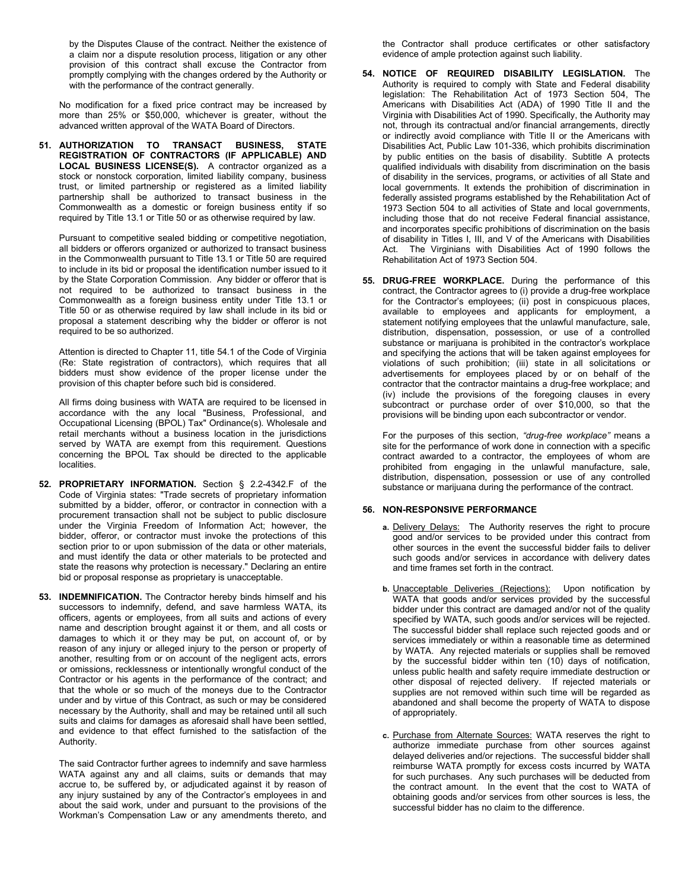by the Disputes Clause of the contract. Neither the existence of a claim nor a dispute resolution process, litigation or any other provision of this contract shall excuse the Contractor from promptly complying with the changes ordered by the Authority or with the performance of the contract generally.

No modification for a fixed price contract may be increased by more than 25% or \$50,000, whichever is greater, without the advanced written approval of the WATA Board of Directors.

**51. AUTHORIZATION TO TRANSACT BUSINESS, STATE REGISTRATION OF CONTRACTORS (IF APPLICABLE) AND LOCAL BUSINESS LICENSE(S).** A contractor organized as a stock or nonstock corporation, limited liability company, business trust, or limited partnership or registered as a limited liability partnership shall be authorized to transact business in the Commonwealth as a domestic or foreign business entity if so required by Title 13.1 or Title 50 or as otherwise required by law.

Pursuant to competitive sealed bidding or competitive negotiation, all bidders or offerors organized or authorized to transact business in the Commonwealth pursuant to Title 13.1 or Title 50 are required to include in its bid or proposal the identification number issued to it by the State Corporation Commission. Any bidder or offeror that is not required to be authorized to transact business in the Commonwealth as a foreign business entity under Title 13.1 or Title 50 or as otherwise required by law shall include in its bid or proposal a statement describing why the bidder or offeror is not required to be so authorized.

Attention is directed to Chapter 11, title 54.1 of the Code of Virginia (Re: State registration of contractors), which requires that all bidders must show evidence of the proper license under the provision of this chapter before such bid is considered.

All firms doing business with WATA are required to be licensed in accordance with the any local "Business, Professional, and Occupational Licensing (BPOL) Tax" Ordinance(s). Wholesale and retail merchants without a business location in the jurisdictions served by WATA are exempt from this requirement. Questions concerning the BPOL Tax should be directed to the applicable localities.

- **52. PROPRIETARY INFORMATION.** Section § 2.2-4342.F of the Code of Virginia states: "Trade secrets of proprietary information submitted by a bidder, offeror, or contractor in connection with a procurement transaction shall not be subject to public disclosure under the Virginia Freedom of Information Act; however, the bidder, offeror, or contractor must invoke the protections of this section prior to or upon submission of the data or other materials, and must identify the data or other materials to be protected and state the reasons why protection is necessary." Declaring an entire bid or proposal response as proprietary is unacceptable.
- **53. INDEMNIFICATION.** The Contractor hereby binds himself and his successors to indemnify, defend, and save harmless WATA, its officers, agents or employees, from all suits and actions of every name and description brought against it or them, and all costs or damages to which it or they may be put, on account of, or by reason of any injury or alleged injury to the person or property of another, resulting from or on account of the negligent acts, errors or omissions, recklessness or intentionally wrongful conduct of the Contractor or his agents in the performance of the contract; and that the whole or so much of the moneys due to the Contractor under and by virtue of this Contract, as such or may be considered necessary by the Authority, shall and may be retained until all such suits and claims for damages as aforesaid shall have been settled, and evidence to that effect furnished to the satisfaction of the Authority.

The said Contractor further agrees to indemnify and save harmless WATA against any and all claims, suits or demands that may accrue to, be suffered by, or adjudicated against it by reason of any injury sustained by any of the Contractor's employees in and about the said work, under and pursuant to the provisions of the Workman's Compensation Law or any amendments thereto, and

the Contractor shall produce certificates or other satisfactory evidence of ample protection against such liability.

- **54. NOTICE OF REQUIRED DISABILITY LEGISLATION.** The Authority is required to comply with State and Federal disability legislation: The Rehabilitation Act of 1973 Section 504, The Americans with Disabilities Act (ADA) of 1990 Title II and the Virginia with Disabilities Act of 1990. Specifically, the Authority may not, through its contractual and/or financial arrangements, directly or indirectly avoid compliance with Title II or the Americans with Disabilities Act, Public Law 101-336, which prohibits discrimination by public entities on the basis of disability. Subtitle A protects qualified individuals with disability from discrimination on the basis of disability in the services, programs, or activities of all State and local governments. It extends the prohibition of discrimination in federally assisted programs established by the Rehabilitation Act of 1973 Section 504 to all activities of State and local governments, including those that do not receive Federal financial assistance, and incorporates specific prohibitions of discrimination on the basis of disability in Titles I, III, and V of the Americans with Disabilities Act. The Virginians with Disabilities Act of 1990 follows the Rehabilitation Act of 1973 Section 504.
- **55. DRUG-FREE WORKPLACE.** During the performance of this contract, the Contractor agrees to (i) provide a drug-free workplace for the Contractor's employees; (ii) post in conspicuous places, available to employees and applicants for employment, a statement notifying employees that the unlawful manufacture, sale, distribution, dispensation, possession, or use of a controlled substance or marijuana is prohibited in the contractor's workplace and specifying the actions that will be taken against employees for violations of such prohibition; (iii) state in all solicitations or advertisements for employees placed by or on behalf of the contractor that the contractor maintains a drug-free workplace; and (iv) include the provisions of the foregoing clauses in every subcontract or purchase order of over \$10,000, so that the provisions will be binding upon each subcontractor or vendor.

For the purposes of this section, *"drug-free workplace"* means a site for the performance of work done in connection with a specific contract awarded to a contractor, the employees of whom are prohibited from engaging in the unlawful manufacture, sale, distribution, dispensation, possession or use of any controlled substance or marijuana during the performance of the contract.

# **56. NON-RESPONSIVE PERFORMANCE**

- **a.** Delivery Delays: The Authority reserves the right to procure good and/or services to be provided under this contract from other sources in the event the successful bidder fails to deliver such goods and/or services in accordance with delivery dates and time frames set forth in the contract.
- **b.** Unacceptable Deliveries (Rejections): Upon notification by WATA that goods and/or services provided by the successful bidder under this contract are damaged and/or not of the quality specified by WATA, such goods and/or services will be rejected. The successful bidder shall replace such rejected goods and or services immediately or within a reasonable time as determined by WATA. Any rejected materials or supplies shall be removed by the successful bidder within ten (10) days of notification, unless public health and safety require immediate destruction or other disposal of rejected delivery. If rejected materials or supplies are not removed within such time will be regarded as abandoned and shall become the property of WATA to dispose of appropriately.
- **c.** Purchase from Alternate Sources: WATA reserves the right to authorize immediate purchase from other sources against delayed deliveries and/or rejections. The successful bidder shall reimburse WATA promptly for excess costs incurred by WATA for such purchases. Any such purchases will be deducted from the contract amount. In the event that the cost to WATA of obtaining goods and/or services from other sources is less, the successful bidder has no claim to the difference.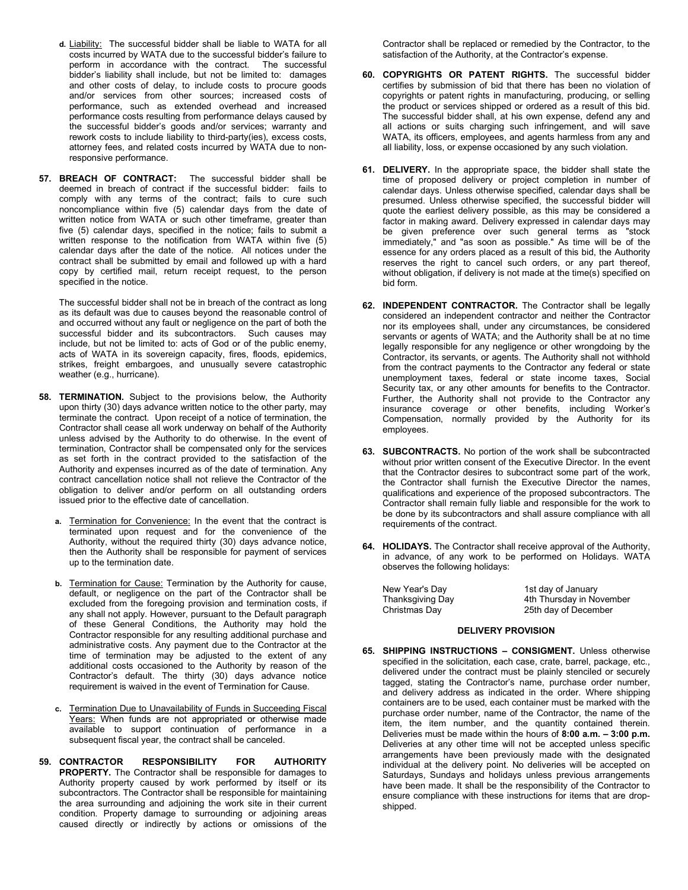- **d.** Liability: The successful bidder shall be liable to WATA for all costs incurred by WATA due to the successful bidder's failure to perform in accordance with the contract. The successful bidder's liability shall include, but not be limited to: damages and other costs of delay, to include costs to procure goods and/or services from other sources; increased costs of performance, such as extended overhead and increased performance costs resulting from performance delays caused by the successful bidder's goods and/or services; warranty and rework costs to include liability to third-party(ies), excess costs, attorney fees, and related costs incurred by WATA due to nonresponsive performance.
- **57. BREACH OF CONTRACT:** The successful bidder shall be deemed in breach of contract if the successful bidder: fails to comply with any terms of the contract; fails to cure such noncompliance within five (5) calendar days from the date of written notice from WATA or such other timeframe, greater than five (5) calendar days, specified in the notice; fails to submit a written response to the notification from WATA within five (5) calendar days after the date of the notice. All notices under the contract shall be submitted by email and followed up with a hard copy by certified mail, return receipt request, to the person specified in the notice.

The successful bidder shall not be in breach of the contract as long as its default was due to causes beyond the reasonable control of and occurred without any fault or negligence on the part of both the successful bidder and its subcontractors. Such causes may include, but not be limited to: acts of God or of the public enemy, acts of WATA in its sovereign capacity, fires, floods, epidemics, strikes, freight embargoes, and unusually severe catastrophic weather (e.g., hurricane).

- **58. TERMINATION.** Subject to the provisions below, the Authority upon thirty (30) days advance written notice to the other party, may terminate the contract. Upon receipt of a notice of termination, the Contractor shall cease all work underway on behalf of the Authority unless advised by the Authority to do otherwise. In the event of termination, Contractor shall be compensated only for the services as set forth in the contract provided to the satisfaction of the Authority and expenses incurred as of the date of termination. Any contract cancellation notice shall not relieve the Contractor of the obligation to deliver and/or perform on all outstanding orders issued prior to the effective date of cancellation.
	- **Termination for Convenience:** In the event that the contract is terminated upon request and for the convenience of the Authority, without the required thirty (30) days advance notice, then the Authority shall be responsible for payment of services up to the termination date.
	- **b.** Termination for Cause: Termination by the Authority for cause, default, or negligence on the part of the Contractor shall be excluded from the foregoing provision and termination costs, if any shall not apply. However, pursuant to the Default paragraph of these General Conditions, the Authority may hold the Contractor responsible for any resulting additional purchase and administrative costs. Any payment due to the Contractor at the time of termination may be adjusted to the extent of any additional costs occasioned to the Authority by reason of the Contractor's default. The thirty (30) days advance notice requirement is waived in the event of Termination for Cause.
	- **c.** Termination Due to Unavailability of Funds in Succeeding Fiscal Years: When funds are not appropriated or otherwise made available to support continuation of performance in a subsequent fiscal year, the contract shall be canceled.
- **59. CONTRACTOR RESPONSIBILITY FOR AUTHORITY PROPERTY.** The Contractor shall be responsible for damages to Authority property caused by work performed by itself or its subcontractors. The Contractor shall be responsible for maintaining the area surrounding and adjoining the work site in their current condition. Property damage to surrounding or adjoining areas caused directly or indirectly by actions or omissions of the

Contractor shall be replaced or remedied by the Contractor, to the satisfaction of the Authority, at the Contractor's expense.

- **60. COPYRIGHTS OR PATENT RIGHTS.** The successful bidder certifies by submission of bid that there has been no violation of copyrights or patent rights in manufacturing, producing, or selling the product or services shipped or ordered as a result of this bid. The successful bidder shall, at his own expense, defend any and all actions or suits charging such infringement, and will save WATA, its officers, employees, and agents harmless from any and all liability, loss, or expense occasioned by any such violation.
- **61. DELIVERY.** In the appropriate space, the bidder shall state the time of proposed delivery or project completion in number of calendar days. Unless otherwise specified, calendar days shall be presumed. Unless otherwise specified, the successful bidder will quote the earliest delivery possible, as this may be considered a factor in making award. Delivery expressed in calendar days may be given preference over such general terms as "stock immediately," and "as soon as possible." As time will be of the essence for any orders placed as a result of this bid, the Authority reserves the right to cancel such orders, or any part thereof, without obligation, if delivery is not made at the time(s) specified on bid form.
- **62. INDEPENDENT CONTRACTOR.** The Contractor shall be legally considered an independent contractor and neither the Contractor nor its employees shall, under any circumstances, be considered servants or agents of WATA; and the Authority shall be at no time legally responsible for any negligence or other wrongdoing by the Contractor, its servants, or agents. The Authority shall not withhold from the contract payments to the Contractor any federal or state unemployment taxes, federal or state income taxes, Social Security tax, or any other amounts for benefits to the Contractor. Further, the Authority shall not provide to the Contractor any insurance coverage or other benefits, including Worker's Compensation, normally provided by the Authority for its employees.
- **63. SUBCONTRACTS.** No portion of the work shall be subcontracted without prior written consent of the Executive Director. In the event that the Contractor desires to subcontract some part of the work, the Contractor shall furnish the Executive Director the names, qualifications and experience of the proposed subcontractors. The Contractor shall remain fully liable and responsible for the work to be done by its subcontractors and shall assure compliance with all requirements of the contract.
- **64. HOLIDAYS.** The Contractor shall receive approval of the Authority, in advance, of any work to be performed on Holidays. WATA observes the following holidays:

| New Year's Day   | 1st day of January       |
|------------------|--------------------------|
| Thanksgiving Day | 4th Thursday in November |
| Christmas Day    | 25th day of December     |

### **DELIVERY PROVISION**

**65. SHIPPING INSTRUCTIONS – CONSIGMENT.** Unless otherwise specified in the solicitation, each case, crate, barrel, package, etc., delivered under the contract must be plainly stenciled or securely tagged, stating the Contractor's name, purchase order number, and delivery address as indicated in the order. Where shipping containers are to be used, each container must be marked with the purchase order number, name of the Contractor, the name of the item, the item number, and the quantity contained therein. Deliveries must be made within the hours of **8:00 a.m. – 3:00 p.m.**  Deliveries at any other time will not be accepted unless specific arrangements have been previously made with the designated individual at the delivery point. No deliveries will be accepted on Saturdays, Sundays and holidays unless previous arrangements have been made. It shall be the responsibility of the Contractor to ensure compliance with these instructions for items that are dropshipped.